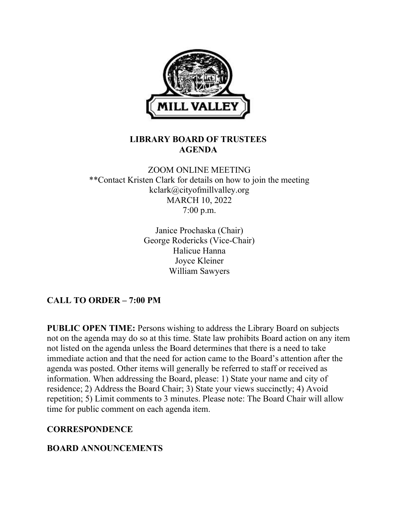

### LIBRARY BOARD OF TRUSTEES AGENDA

## ZOOM ONLINE MEETING \*\*Contact Kristen Clark for details on how to join the meeting kclark@cityofmillvalley.org MARCH 10, 2022 7:00 p.m.

Janice Prochaska (Chair) George Rodericks (Vice-Chair) Halicue Hanna Joyce Kleiner William Sawyers

# CALL TO ORDER – 7:00 PM

PUBLIC OPEN TIME: Persons wishing to address the Library Board on subjects not on the agenda may do so at this time. State law prohibits Board action on any item not listed on the agenda unless the Board determines that there is a need to take immediate action and that the need for action came to the Board's attention after the agenda was posted. Other items will generally be referred to staff or received as information. When addressing the Board, please: 1) State your name and city of residence; 2) Address the Board Chair; 3) State your views succinctly; 4) Avoid repetition; 5) Limit comments to 3 minutes. Please note: The Board Chair will allow time for public comment on each agenda item.

### **CORRESPONDENCE**

## BOARD ANNOUNCEMENTS